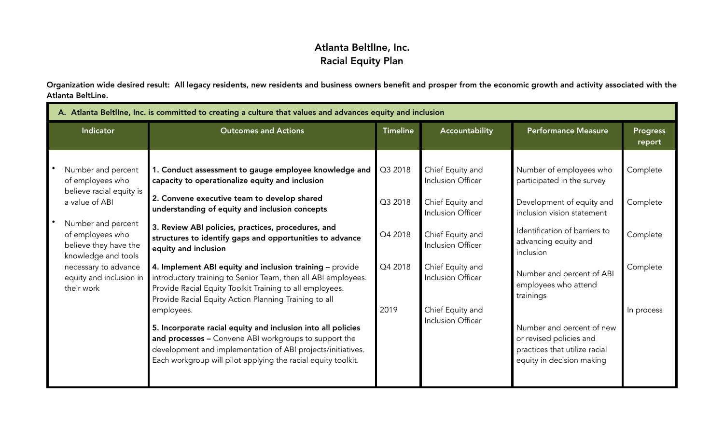## Atlanta BeltlIne, Inc. Racial Equity Plan

Organization wide desired result: All legacy residents, new residents and business owners benefit and prosper from the economic growth and activity associated with the Atlanta BeltLine.

| A. Atlanta Beltline, Inc. is committed to creating a culture that values and advances equity and inclusion |                                                                                                                                                                                                                                                                                                                                                                                                                                                                                                                                                                                                                                                                                                                                                                                                                                                                       |                                                                                                                                                                                                                                                                                                                                                                                |                                                            |  |  |  |
|------------------------------------------------------------------------------------------------------------|-----------------------------------------------------------------------------------------------------------------------------------------------------------------------------------------------------------------------------------------------------------------------------------------------------------------------------------------------------------------------------------------------------------------------------------------------------------------------------------------------------------------------------------------------------------------------------------------------------------------------------------------------------------------------------------------------------------------------------------------------------------------------------------------------------------------------------------------------------------------------|--------------------------------------------------------------------------------------------------------------------------------------------------------------------------------------------------------------------------------------------------------------------------------------------------------------------------------------------------------------------------------|------------------------------------------------------------|--|--|--|
|                                                                                                            |                                                                                                                                                                                                                                                                                                                                                                                                                                                                                                                                                                                                                                                                                                                                                                                                                                                                       | <b>Performance Measure</b>                                                                                                                                                                                                                                                                                                                                                     | <b>Progress</b><br>report                                  |  |  |  |
| 2019                                                                                                       | Chief Equity and<br>Inclusion Officer<br>Chief Equity and<br>Inclusion Officer<br>Chief Equity and<br>Inclusion Officer<br>Chief Equity and<br>Inclusion Officer<br>Chief Equity and<br>Inclusion Officer                                                                                                                                                                                                                                                                                                                                                                                                                                                                                                                                                                                                                                                             | Number of employees who<br>participated in the survey<br>Development of equity and<br>inclusion vision statement<br>Identification of barriers to<br>advancing equity and<br>inclusion<br>Number and percent of ABI<br>employees who attend<br>trainings<br>Number and percent of new<br>or revised policies and<br>practices that utilize racial<br>equity in decision making | Complete<br>Complete<br>Complete<br>Complete<br>In process |  |  |  |
|                                                                                                            | <b>Outcomes and Actions</b><br>1. Conduct assessment to gauge employee knowledge and<br>capacity to operationalize equity and inclusion<br>2. Convene executive team to develop shared<br>understanding of equity and inclusion concepts<br>3. Review ABI policies, practices, procedures, and<br>structures to identify gaps and opportunities to advance<br>4. Implement ABI equity and inclusion training - provide<br>introductory training to Senior Team, then all ABI employees.<br>Provide Racial Equity Toolkit Training to all employees.<br>Provide Racial Equity Action Planning Training to all<br>5. Incorporate racial equity and inclusion into all policies<br>and processes - Convene ABI workgroups to support the<br>development and implementation of ABI projects/initiatives.<br>Each workgroup will pilot applying the racial equity toolkit. | <b>Timeline</b><br>Q3 2018<br>Q3 2018<br>Q4 2018<br>Q4 2018                                                                                                                                                                                                                                                                                                                    | Accountability                                             |  |  |  |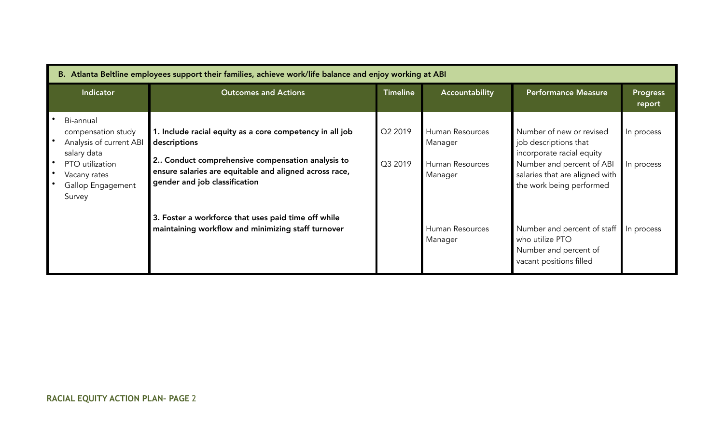| B. Atlanta Beltline employees support their families, achieve work/life balance and enjoy working at ABI                                    |                                                                                                                                                                                                                         |                    |                                                          |                                                                                                                                                                           |                           |  |
|---------------------------------------------------------------------------------------------------------------------------------------------|-------------------------------------------------------------------------------------------------------------------------------------------------------------------------------------------------------------------------|--------------------|----------------------------------------------------------|---------------------------------------------------------------------------------------------------------------------------------------------------------------------------|---------------------------|--|
| <b>Indicator</b>                                                                                                                            | <b>Outcomes and Actions</b>                                                                                                                                                                                             | <b>Timeline</b>    | Accountability                                           | <b>Performance Measure</b>                                                                                                                                                | <b>Progress</b><br>report |  |
| Bi-annual<br>compensation study<br>Analysis of current ABI<br>salary data<br>PTO utilization<br>Vacany rates<br>Gallop Engagement<br>Survey | 1. Include racial equity as a core competency in all job<br>descriptions<br>2 Conduct comprehensive compensation analysis to<br>ensure salaries are equitable and aligned across race,<br>gender and job classification | Q2 2019<br>Q3 2019 | Human Resources<br>Manager<br>Human Resources<br>Manager | Number of new or revised<br>job descriptions that<br>incorporate racial equity<br>Number and percent of ABI<br>salaries that are aligned with<br>the work being performed | In process<br>In process  |  |
|                                                                                                                                             | 3. Foster a workforce that uses paid time off while<br>maintaining workflow and minimizing staff turnover                                                                                                               |                    | Human Resources<br>Manager                               | Number and percent of staff<br>who utilize PTO<br>Number and percent of<br>vacant positions filled                                                                        | In process                |  |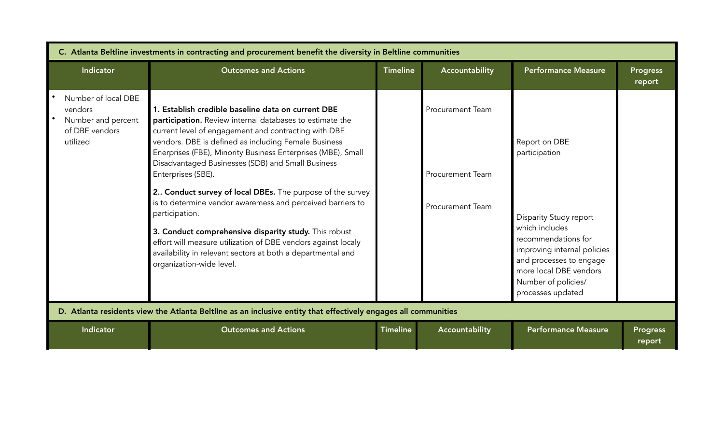| C. Atlanta Beltline investments in contracting and procurement benefit the diversity in Beltline communities   |                                                                                                                                                                                                                                                                                                                                                                                                                                                                                                                                                                                                                                                                                                                                             |                 |                                                                               |                                                                                                                                                                                                                                          |                           |
|----------------------------------------------------------------------------------------------------------------|---------------------------------------------------------------------------------------------------------------------------------------------------------------------------------------------------------------------------------------------------------------------------------------------------------------------------------------------------------------------------------------------------------------------------------------------------------------------------------------------------------------------------------------------------------------------------------------------------------------------------------------------------------------------------------------------------------------------------------------------|-----------------|-------------------------------------------------------------------------------|------------------------------------------------------------------------------------------------------------------------------------------------------------------------------------------------------------------------------------------|---------------------------|
| Indicator                                                                                                      | <b>Outcomes and Actions</b>                                                                                                                                                                                                                                                                                                                                                                                                                                                                                                                                                                                                                                                                                                                 | <b>Timeline</b> | Accountability                                                                | <b>Performance Measure</b>                                                                                                                                                                                                               | <b>Progress</b><br>report |
| Number of local DBE<br>vendors<br>Number and percent<br>of DBE vendors<br>utilized                             | 1. Establish credible baseline data on current DBE<br>participation. Review internal databases to estimate the<br>current level of engagement and contracting with DBE<br>vendors. DBE is defined as including Female Business<br>Enerprises (FBE), Minority Business Enterprises (MBE), Small<br>Disadvantaged Businesses (SDB) and Small Business<br>Enterprises (SBE).<br>2 Conduct survey of local DBEs. The purpose of the survey<br>is to determine vendor awaremess and perceived barriers to<br>participation.<br>3. Conduct comprehensive disparity study. This robust<br>effort will measure utilization of DBE vendors against localy<br>availability in relevant sectors at both a departmental and<br>organization-wide level. |                 | <b>Procurement Team</b><br><b>Procurement Team</b><br><b>Procurement Team</b> | Report on DBE<br>participation<br><b>Disparity Study report</b><br>which includes<br>recommendations for<br>improving internal policies<br>and processes to engage<br>more local DBE vendors<br>Number of policies/<br>processes updated |                           |
| D. Atlanta residents view the Atlanta Beltline as an inclusive entity that effectively engages all communities |                                                                                                                                                                                                                                                                                                                                                                                                                                                                                                                                                                                                                                                                                                                                             |                 |                                                                               |                                                                                                                                                                                                                                          |                           |
| Indicator                                                                                                      | <b>Outcomes and Actions</b>                                                                                                                                                                                                                                                                                                                                                                                                                                                                                                                                                                                                                                                                                                                 | <b>Timeline</b> | Accountability                                                                | <b>Performance Measure</b>                                                                                                                                                                                                               | <b>Progress</b><br>report |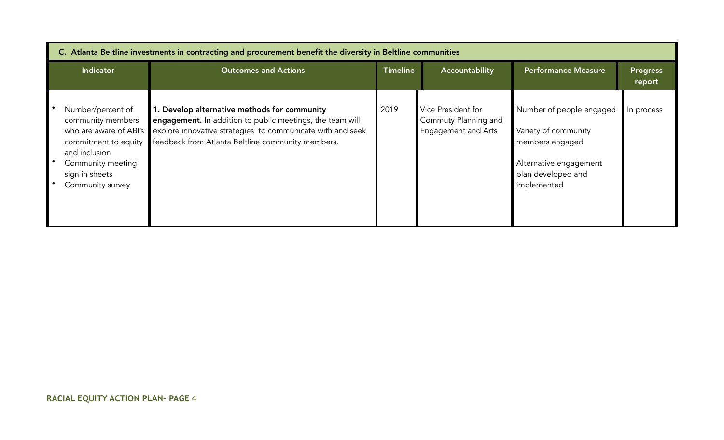| C. Atlanta Beltline investments in contracting and procurement benefit the diversity in Beltline communities                                                         |                                                                                                                                                                                                                              |                 |                                                                          |                                                                                                                                    |                           |
|----------------------------------------------------------------------------------------------------------------------------------------------------------------------|------------------------------------------------------------------------------------------------------------------------------------------------------------------------------------------------------------------------------|-----------------|--------------------------------------------------------------------------|------------------------------------------------------------------------------------------------------------------------------------|---------------------------|
| <b>Indicator</b>                                                                                                                                                     | <b>Outcomes and Actions</b>                                                                                                                                                                                                  | <b>Timeline</b> | Accountability                                                           | <b>Performance Measure</b>                                                                                                         | <b>Progress</b><br>report |
| Number/percent of<br>community members<br>who are aware of ABI's<br>commitment to equity<br>and inclusion<br>Community meeting<br>sign in sheets<br>Community survey | 1. Develop alternative methods for community<br>engagement. In addition to public meetings, the team will<br>explore innovative strategies to communicate with and seek<br>feedback from Atlanta Beltline community members. | 2019            | Vice President for<br>Commuty Planning and<br><b>Engagement and Arts</b> | Number of people engaged<br>Variety of community<br>members engaged<br>Alternative engagement<br>plan developed and<br>implemented | In process                |